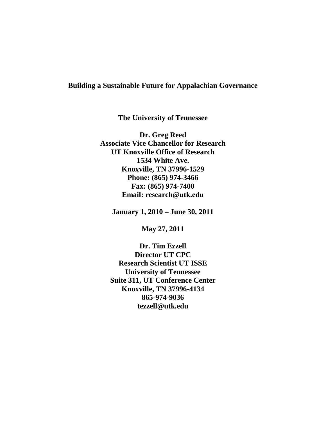# **Building a Sustainable Future for Appalachian Governance**

**The University of Tennessee**

**Dr. Greg Reed Associate Vice Chancellor for Research UT Knoxville Office of Research 1534 White Ave. Knoxville, TN 37996-1529 Phone: (865) 974-3466 Fax: (865) 974-7400 Email: research@utk.edu**

**January 1, 2010 – June 30, 2011**

**May 27, 2011**

**Dr. Tim Ezzell Director UT CPC Research Scientist UT ISSE University of Tennessee Suite 311, UT Conference Center Knoxville, TN 37996-4134 865-974-9036 tezzell@utk.edu**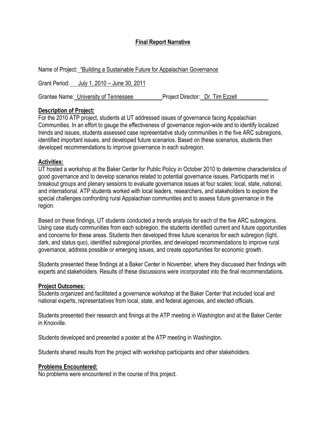## **Final Report Narrative**

| Name of Project: "Building a Sustainable Future for Appalachian Governance |                                  |
|----------------------------------------------------------------------------|----------------------------------|
| Grant Period: July 1, 2010 – June 30, 2011                                 |                                  |
| Grantee Name: University of Tennessee                                      | Project Director: Dr. Tim Ezzell |

### **Description of Project:**

For the 2010 ATP project, students at UT addressed issues of governance facing Appalachian Communities. In an effort to gauge the effectiveness of governance region-wide and to identify localized trends and issues, students assessed case representative study communities in the five ARC subregions, identified important issues, and developed future scenarios. Based on these scenarios, students then developed recommendations to improve governance in each subregion.

### **Activities:**

UT hosted a workshop at the Baker Center for Public Policy in October 2010 to determine characteristics of good governance and to develop scenarios related to potential governance issues. Participants met in breakout groups and plenary sessions to evaluate governance issues at four scales: local, state, national, and international. ATP students worked with local leaders, researchers, and stakeholders to explore the special challenges confronting rural Appalachian communities and to assess future governance in the region.

Based on these findings, UT students conducted a trends analysis for each of the five ARC subregions. Using case study communities from each subregion, the students identified current and future opportunities and concerns for these areas. Students then developed three future scenarios for each subregion (light, dark, and status quo), identified subregional priorities, and developed recommendations to improve rural governance, address possible or emerging issues, and create opportunities for economic growth.

Students presented these findings at a Baker Center in November, where they discussed their findings with experts and stakeholders. Results of these discussions were incorporated into the final recommendations.

#### **Project Outcomes:**

Students organized and facilitated a governance workshop at the Baker Center that included local and national experts, representatives from local, state, and federal agencies, and elected officials.

Students presented their research and finings at the ATP meeting in Washington and at the Baker Center in Knoxville.

Students developed and presented a poster at the ATP meeting in Washington.

Students shared results from the project with workshop participants and other stakeholders.

### **Problems Encountered:**

No problems were encountered in the course of this project.